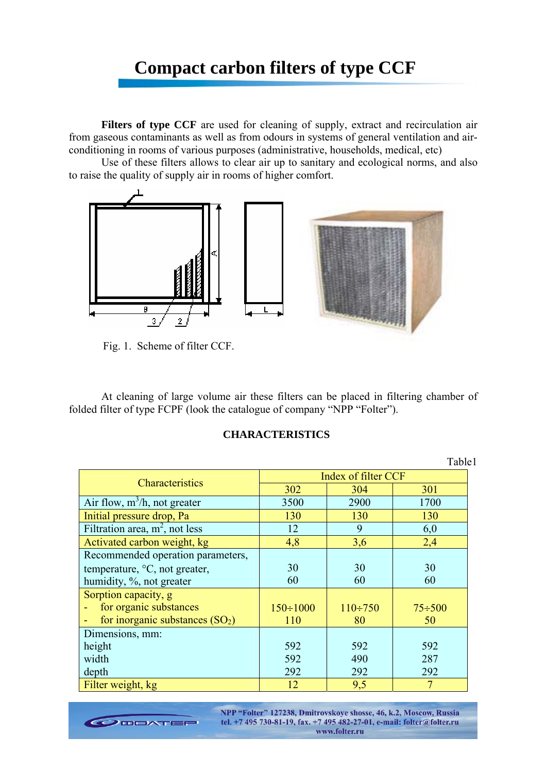## **Compact carbon filters of type CCF**

Filters of type CCF are used for cleaning of supply, extract and recirculation air from gaseous contaminants as well as from odours in systems of general ventilation and airconditioning in rooms of various purposes (administrative, households, medical, etc)

Use of these filters allows to clear air up to sanitary and ecological norms, and also to raise the quality of supply air in rooms of higher comfort.



Fig. 1. Scheme of filter CCF.

At cleaning of large volume air these filters can be placed in filtering chamber of folded filter of type FCPF (look the catalogue of company "NPP "Folter").

## **CHARACTERISTICS**

Table1

| Characteristics                   | Index of filter CCF |                |               |
|-----------------------------------|---------------------|----------------|---------------|
|                                   | 302                 | 304            | 301           |
| Air flow, $m^3/h$ , not greater   | 3500                | 2900           | 1700          |
| Initial pressure drop, Pa         | 130                 | 130            | 130           |
| Filtration area, $m^2$ , not less | 12                  | 9              | 6,0           |
| Activated carbon weight, kg       | 4,8                 | 3,6            | 2,4           |
| Recommended operation parameters, |                     |                |               |
| temperature, °C, not greater,     | 30                  | 30             | 30            |
| humidity, %, not greater          | 60                  | 60             | 60            |
| Sorption capacity, g              |                     |                |               |
| for organic substances            | $150 \div 1000$     | $110 \div 750$ | $75 \div 500$ |
| for inorganic substances $(SO2)$  | 110                 | 80             | 50            |
| Dimensions, mm:                   |                     |                |               |
| height                            | 592                 | 592            | 592           |
| width                             | 592                 | 490            | 287           |
| depth                             | 292                 | 292            | 292           |
| Filter weight, kg                 | 12                  | 9,5            |               |